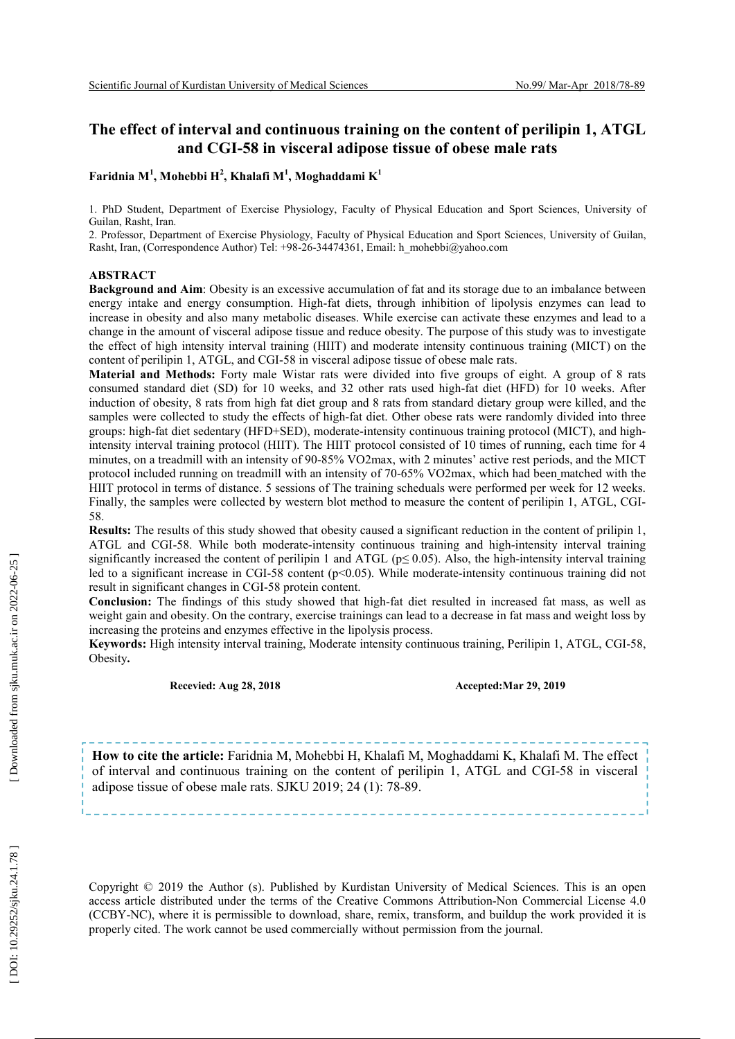#### **The effect of interval and continuous training on the content of perilipin 1, ATGL**  and CGI-58 in visceral adipose tissue of obese male rats

#### **Faridnia M 1 , Mohebbi H 2 , Khalafi M 1 , Moghaddami K 1**

1 . PhD Student, Department of Exercise Physiology, Faculty of Physical Education and Sport Sciences, University of Guilan, Rasht, Iran .

2. Professor, Department of Exercise Physiology, Faculty of Physical Education and Sport Sciences, University of Guilan, Rasht, Iran, (Correspondence Author) Tel: +98-26-34474361, Email: h\_mohebbi@yahoo.com

#### **ABSTRACT**

**Background and Aim**: Obesity is an excessive accumulation of fat and its storage due to an imbalance between energy intake and energy consumption. High -fat diets, through inhibition of lipolysis enzymes can lead to increase in obesity and also many metabolic diseases. While exercise can activate these enzymes and lead to a change in the amount of visceral adipose tissue and reduce obesity. The purpose of this study was to investigate the effect of high intensity interval training (HIIT) and moderate intensity continuous training (MICT) on the content of perilipin 1, ATGL, and CGI -58 in visceral adipose tissue of obese male rats.

**Material and Methods:** Forty male Wistar rats were divided into five groups of eight. A group of 8 rats consumed standard diet (SD) for 10 weeks, and 32 other rats used high -fat diet (HFD) for 10 weeks. After induction of obesity, 8 rats from high fat diet group and 8 rats from standard dietary group were killed , and the samples were collected to study the effects of high -fat diet. Other obese rats were randomly divided into three groups: high -fat diet sedentary (HFD+SED), moderate -intensity continuous training protocol (MICT), and high intensity interval training protocol (HIIT). The HIIT protocol consisted of 10 times of running, each time for 4 minutes, on a treadmill with an intensity of 90 -85% VO2max, with 2 minutes' active rest periods, and the MICT protocol included running on treadmill with an intensity of 70 -65% VO2max, which had been matched with the HIIT protocol in terms of distance. 5 sessions of The training scheduals were performed per week for 12 weeks. Finally, the samples were collected by western blot method to measure the content of perilipin 1, ATGL, CGI - 58.

**Results:** The results of this study showed that obesity caused a significant reduction in the content of prilipin 1, ATGL and CGI -58. While both moderate -intensity continuous training and high -intensity interval training significantly increased the content of perilipin 1 and ATGL ( $p \le 0.05$ ). Also, the high-intensity interval training led to a significant increase in CGI-58 content (p<0.05). While moderate-intensity continuous training did not result in significant changes in CGI -58 protein content.

**Conclusion:** The findings of this study showed that high -fat diet resulted in increased fat mass, as well as weight gain and obesity. On the contrary, exercise trainings can lead to a decrease in fat mass and weight loss by increasing the proteins and enzymes effective in the lipolysis process.

**Keywords:** High intensity interval training, Moderate intensity continuous training, Perilipin 1, ATGL, CGI -58, Obesity **.**

#### **Recevied: Aug 28, 2018 Accepted:Mar 29, 2019**

**How to cite the article:** Faridnia M, Mohebbi H, Khalafi M, Moghaddami K, Khalafi M. The effect of interval and continuous training on the content of perilipin 1, ATGL and CGI -58 in visceral adipose tissue of obese male rats. SJKU 2019; 24 (1): 78 -89.

Copyright © 2019 the Author (s). Published by Kurdistan University of Medical Sciences. This is an open access article distributed under the terms of the Creative Commons Attribution -Non Commercial License 4.0 (CCBY -NC), where it is permissible to download, share, remix, transform, and buildup the work provided it is properly cited. The work cannot be used commercially without permission from the journal.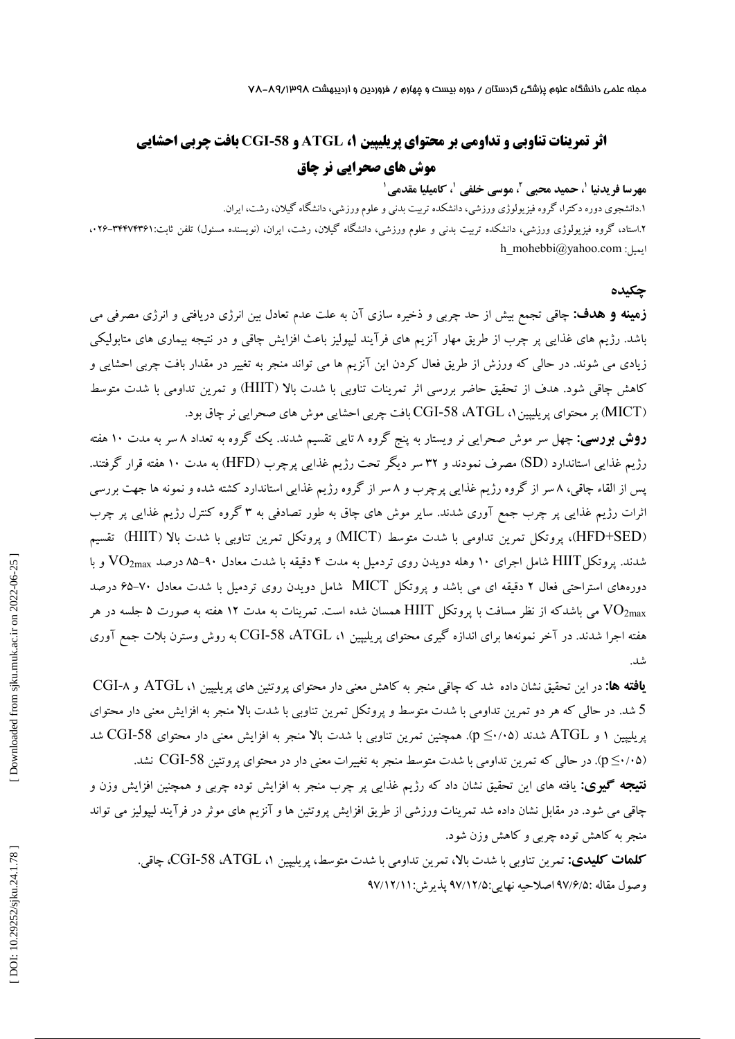مجله علمی دانشگاه علوم پزشکی کردستان / دوره بیست و چهارم / فروردین و اردیبهشت ۷۸-۸۹/۱۳۹۸

# **CGI بافت چربی احشایی ، ATGL و -58 اثر تمرینات تناوبی و تداومی بر محتواي پریلیپین 1 موش هاي صحرایی نر چاق**

#### **مهرسا فریدنیا ، حمید محبی <sup>1</sup> ، موسی خلفی <sup>2</sup> 1 ، کامیلیا مقدمی <sup>1</sup>**

دانشجوي دوره دکترا، گروه فیزیولوژي ورزشی، دانشکده تربیت بدنی و علوم ورزشی، دانشگاه گیلان، رشت، ایران. 1 .

۲.استاد، گروه فیزیولوژی ورزشی، دانشکده تربیت بدنی و علوم ورزشی، دانشگاه گیلان، رشت، ایران، (نویسنده مسئول) تلفن ثابت:۳۴۴۷۴۳۶۱-۰۲۴ . h\_mohebbi@yahoo.com :ایمیل

#### **چکیده**

چاقی تجمع بیش از حد چربی و ذخیره سازي آن به علت عدم تعادل بین انرژي دریافتی و انرژي مصرفی می **زمینه و هدف:** باشد. رژیم هاي غذایی پر چرب از طریق مهار آنزیم هاي فرآیند لیپولیز باعث افزایش چاقی و در نتیجه بیماري هاي متابولیکی زیادي می شوند. در حالی که ورزش از طریق فعال کردن این آنزیم ها می تواند منجر به تغییر در مقدار بافت چربی احشایی و کاهش چاقی شود. هدف از تحقیق حاضر بررسی اثر تمرینات تناوبی با شدت بالا (HIIT) و تمرین تداومی با شدت متوسط (MICT) بر محتوای پریلیپین۱، CGI-58 ،ATGL بافت چربی احشایی موش های صحرایی نر چاق بود.

**روش بررسی:** چهل سر موش صحرایی نر ویستار به پنج گروه ۸ تایی تقسیم شدند. یک گروه به تعداد ۸ سر به مدت ۱۰ هفته رژیم غذایی استاندارد (SD) مصرف نمودند و ۳۲ سر دیگر تحت رژیم غذایی پرچرب (HFD) به مدت ۱۰ هفته قرار گرفتند. پس از القاء چاقی، ۸ سر از گروه رژیم غذایی پرچرب و ۸ سر از گروه رژیم غذایی استاندارد کشته شده و نمونه ها جهت بررسی 'ثرات رژیم غذایی پر چرب جمع آوری شدند. سایر موش های چاق به طور تصادفی به ۳ گروه کنترل رژیم غذایی پر چرب (HFD+SED)، پروتکل تمرین تداومی با شدت متوسط (MICT) و پروتکل تمرین تناوبی با شدت بالا (HIIT) تقسیم شدند. پروتکل ${\rm HIT}$  شامل اجرای ۱۰ وهله دویدن روی تردمیل به مدت ۴ دقیقه با شدت معادل ۹۰–۸۵ درصد  ${\rm VO}_{\rm 2max}$  و با دورههای استراحتی فعال ۲ دقیقه ای می باشد و پروتکل MICT شامل دویدن روی تردمیل با شدت معادل ۷۰–۶۵ درصد می باشدکه از نظر مسافت با پروتکل  ${\rm HIT}$  همسان شده است. تمرینات به مدت ۱۲ هفته به صورت ۵ جلسه در هر  $\rm{VO}_{2max}$ هفته اجرا شدند. در آخر نمونهها برای اندازه گیری محتوای پریلیپین ۱، ATGL، 58 CGI-58 به روش وسترن بلات جمع آوری شد.

**یافته ها:** در این تحقیق نشان داده شد که چاقی منجر به کاهش معنی دار محتوای پروتئین های پریلیپین ۱، ATGL و CGI-۸ در حالی که هر دو تمرین تداومی با شدت متوسط و پروتکل تمرین تناوبی با شدت بالا منجر به افزایش معنی دار محتواي شد. 5 بریلیپین ۱ و ATGL شدند (۶۰/۰۵). همچنین تمرین تناوبی با شدت بالا منجر به افزایش معنی دار محتوای CGI-58 شد (p≤·/·۵). در حالی که تمرین تداومی با شدت متوسط منجر به تغییرات معنی دار در محتوای پروتئین CGI-58 نشد. .

یافته هاي این تحقیق نشان داد که رژیم غذایی پر چرب منجر به افزایش توده چربی و همچنین افزایش وزن و **نتیجه گیري:** چاقی می شود. در مقابل نشان داده شد تمرینات ورزشی از طریق افزایش پروتئین ها و آنزیم های موثر در فرآیند لیپولیز می تواند منجر به کاهش توده چربی و کاهش وزن شود.

CGI، چاقی. -58 ،ATGL ، تمرین تناوبی با شدت بالا، تمرین تداومی با شدت متوسط، پریلیپین 1 **کلمات کلیدي:** وصول مقاله :۹۷/۶/۵ اصلاحیه نهایی:۹۷/۱۲/۵ پذیرش:۹۷/۱۲/۱۱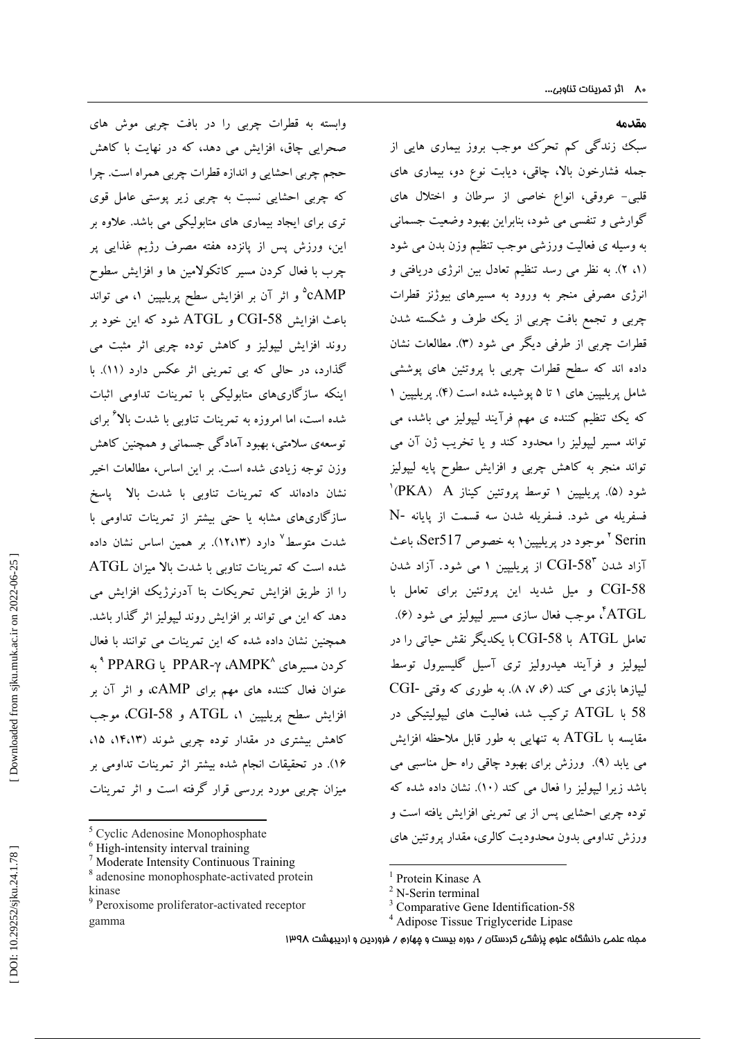وابسته به قطرات چربی را در بافت چربی موش هاي صحرایی چاق، افزایش می دهد، که در نهایت با کاهش حجم چربی احشایی و اندازه قطرات چربی همراه است. چرا که چربی احشایی نسبت به چربی زیر پوستی عامل قوي تري براي ایجاد بیماري هاي متابولیکی می باشد. علاوه بر این، ورزش پس از پانزده هفته مصرف رژیم غذایی پر چرب با فعال کردن مسیر کاتکولامین ها و افزایش سطوح cAMP و اثر آن بر افزایش سطح پریلیپین ،1 می تواند <sup>5</sup> CGI و ATGL شود که این خود بر باعث افزایش -58 روند افزایش لیپولیز و کاهش توده چربی اثر مثبت می گذارد، در حالی که بی تمرینی اثر عکس دارد (۱۱). با . اینکه سازگاريهاي متابولیکی با تمرینات تداومی اثبات شده است، اما امروزه به تمرینات تناوبی با شدت بالا براي <sup>6</sup> توسعهي سلامتی، بهبود آمادگی جسمانی و همچنین کاهش وزن توجه زیادي شده است. بر این اساس، مطالعات اخیر نشان دادهاند که تمرینات تناوبی با شدت بالا پاسخ سازگاريهاي مشابه یا حتی بیشتر از تمرینات تداومی با شدت متوسط دارد (12،13). بر همین اساس نشان داده <sup>7</sup> شده است که تمرینات تناوبی با شدت بالا میزان ATGL را از طریق افزایش تحریکات بتا آدرنرژیک افزایش می<br>دهد که این می تواند بر افزایش روند لیپولیز اثر گذار باشد. همچنین نشان داده شده که این تمرینات می توانند با فعال کردن مسیرهاي 8 یا PPAR-γ ،AMPK 9 PPARG به عنوان فعال کننده هاي مهم براي cAMP، و اثر آن بر افزایش سطح پریلیپین ۱، ATGL و CGI-58، موجب کاهش بیشتری در مقدار توده چربی شوند (۱۴،۱۳، ۱۵، 16). در تحقیقات انجام شده بیشتر اثر تمرینات تداومی بر میزان چربی مورد بررسی قرار گرفته است و اثر تمرینات

- 
- 

**مقدمه** 

سبک زندگی کم تحرّك موجب بروز بیماري هایی از جمله فشارخون بالا، چاقی، دیابت نوع دو، بیماري هاي عروقی، انواع خاصی از سرطان و اختلال هاي قلبی- گوارشی و تنفسی می شود، بنابراین بهبود وضعیت جسمانی به وسیله ي فعالیت ورزشی موجب تنظیم وزن بدن می شود . به نظر می رسد تنظیم تعادل بین انرژي دریافتی و ( 2 ، 1 ) انرژي مصرفی منجر به ورود به مسیرهاي بیوژنز قطرات چربی و تجمع بافت چربی از یک طرف و شکسته شدن فطرات چربی از طرفی دیگر می شود (۳). مطالعات نشان . داده اند که سطح قطرات چربی با پروتئین های پوششی<br>شامل پریلیپین های ۱ تا ۵ پوشیده شده است (۴). پریلییین ۱ که یک تنظیم کننده ی مهم فرآیند لیپولیز می باشد، می تواند مسیر لیپولیز را محدود کند و یا تخریب ژن آن می تواند منجر به کاهش چربی و افزایش سطوح پایه لیپولیز<br>شود (۵). پریلیپین ۱ توسط پروتئین کیناز PKA) (<br>فسفریله می شود. فسفریله شدن سه قسمت از پایانه -N Serin موجود در پریلیپین1 به خصوص 517Ser، باعث <sup>2</sup>  $\rm CGI$ از پریلیپین ۱ می شود. آزاد شدن  $\rm CGI$ -58 آزاد شدن CGI و میل شدید این پروتئین براي تعامل با -58 ATGL 4 ( 6 مسیر لیپولیز می شود ( ، موجب فعال سازي . نعامل ATGL با CGI-58 با یکدیگر نقش حیاتی را در لیپولیز و فرآیند هیدرولیز تري آسیل گلیسیرول توسط CGI به طوري که وقتی - ( 8 ، 7 ، 6 لیپازها بازي می کند ( . در 58 با ATGL ترکیب شد، فعالیت هاي لیپولیتیکی مقایسه با ATGL به تنهایی به طور قابل ملاحظه افزایش می یابد (۹). ورزش برای بهبود چاقی راه حل مناسبی می . باشد زیرا لیپولیز را فعال می کند (۱۰). نشان داده شده که . نوده چربی احشایی پس از بی تمرینی افزایش یافته است و ورزش تداومی بدون محدودیت کالري، مقدار پروتئین هاي

<sup>&</sup>lt;sup>5</sup> Cyclic Adenosine Monophosphate<br>
<sup>6</sup> High-intensity interval training<br>
<sup>7</sup> Moderate Intensity Continuous Training<br>
<sup>8</sup> adenosine monophosphate-activated protein

kinase<br><sup>9</sup> Peroxisome proliferator-activated receptor gamma

<sup>&</sup>lt;sup>1</sup> Protein Kinase A<br>
<sup>2</sup> N-Serin terminal<br>
<sup>3</sup> Comparative Gene Identification-58<br>
<sup>4</sup> Adipose Tissue Triglyceride Lipase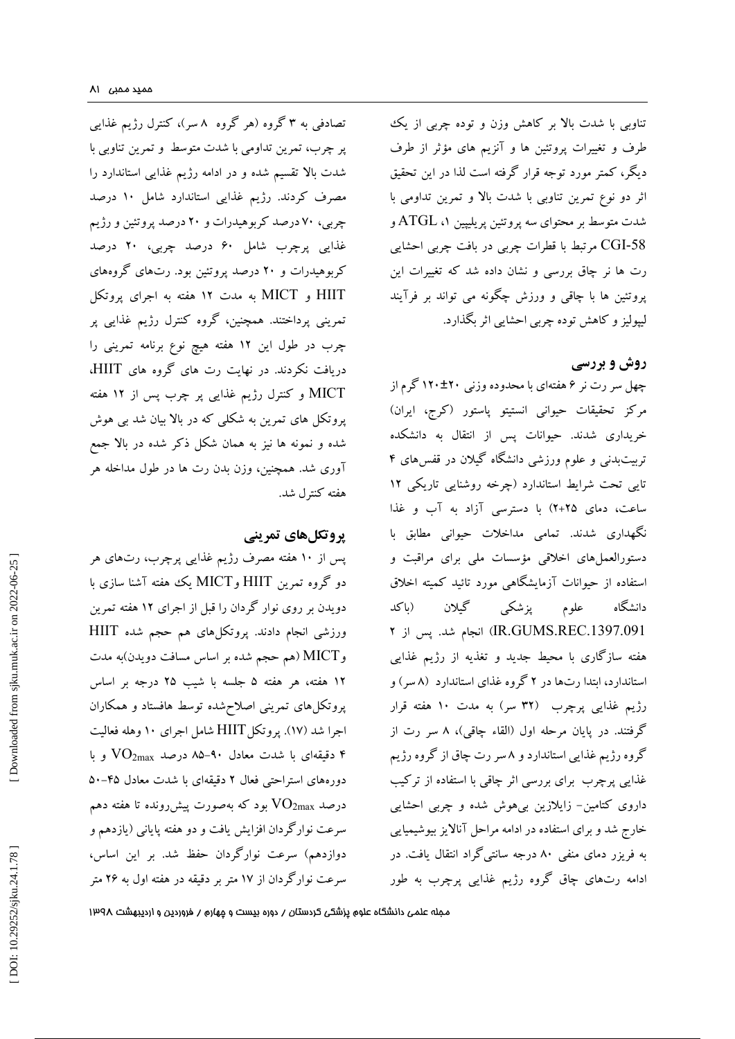تصادفی به ۳ گروه (هر گروه ۸ سر)، کنترل رژیم غذایی پر چرب، تمرین تداومی با شدت متوسط و تمرین تناوبی با شدت بالا تقسیم شده و در ادامه رژیم غذایی استاندارد را مصرف کردند. رژیم غذایی استاندارد شامل 10 درصد چربی، 70 درصد کربوهیدرات و 20 درصد پروتئین و رژیم غذایی پرچرب شامل 60 درصد چربی، 20 درصد کربوهیدرات و 20 درصد پروتئین بود. رتهاي گروههاي HIIT و MICT به مدت 12 هفته به اجراي پروتکل تمرینی پرداختند. همچنین، گروه کنترل رژیم غذایی پر چرب در طول این 12 هفته هیچ نوع برنامه تمرینی را دریافت نکردند. در نهایت رت های گروه های HIIT، MICT و کنترل رژیم غذایی پر چرب پس از 12 هفته پروتکل هاي تمرین به شکلی که در بالا بیان شد بی هوش شده و نمونه ها نیز به همان شکل ذکر شده در بالا جمع آوري شد. همچنین، وزن بدن رت ها در طول مداخله هر هفته کنترل شد.

## **پروتکلهاي تمرینی**

پس از 10 هفته مصرف رژیم غذایی پرچرب، رتهاي هر دو گروه تمرین HIIT وMICT یک هفته آشنا سازی با دویدن بر روي نوار گردان را قبل از اجراي 12 هفته تمرین ورزشی انجام دادند. پروتکلهاي هم حجم شده HIIT به مدت هم حجم شده بر اساس مسافت دویدن) ) MICT و ۱۲ هفته، هر هفته ۵ جلسه با شیب ۲۵ درجه بر اساس پروتکلهاي تمرینی اصلاحشده توسط هافستاد و همکاران اجرا شد (۱۷). پروتکل HIIT شامل اجرای ۱۰ وهله فعالیت . وقیقهای با شدت معادل ۹۰–۸۵ درصد  $\rm{VO_{2max}}$  و با  $^{\circ}$ دورههای استراحتی فعال ۲ دقیقهای با شدت معادل ۴۵–۵۰ درصد  $\rm VO_{2max}$  بود که بهصورت پیش رونده تا هفته دهم سرعت نوارگردان افزایش یافت و دو هفته پایانی (یازدهم و دوازدهم) سرعت نوارگردان حفظ شد. بر این اساس، سرعت نوارگردان از 17 متر بر دقیقه در هفته اول به 26 متر

تناوبی با شدت بالا بر کاهش وزن و توده چربی از یک طرف و تغییرات پروتئین ها و آنزیم هاي مؤثر از طرف دیگر، کمتر مورد توجه قرار گرفته است لذا در این تحقیق اثر دو نوع تمرین تناوبی با شدت بالا و تمرین تداومی با ، ATGL و شدت متوسط بر محتواي سه پروتئین پریلیپین 1 CGI مرتبط با قطرات چربی در بافت چربی احشایی -58 رت ها نر چاق بررسی و نشان داده شد که تغییرات این پروتئین ها با چاقی و ورزش چگونه می تواند بر فرآیند لیپولیز و کاهش توده چربی احشایی اثر بگذارد.

## **روش و بررسی**

چهل سر رت نر ۶ هفتهای با محدوده وزنی ۲۰±۱۲۰ گرم از مرکز تحقیقات حیوانی انستیتو پاستور (کرج، ایران) خریداری شدند. حیوانات پس از انتقال به دانشکده تربیتبدنی و علوم ورزشی دانشگاه گیلان در قفسهاي 4 نایی تحت شرایط استاندارد (چرخه روشنایی تاریکی ۱۲ ساعت، دمای ۲۵+۲) با دسترسی آزاد به آب و غذا نگهداری شدند. تمامی مداخلات حیوانی مطابق با دستورالعملهاي اخلاقی مؤسسات ملی براي مراقبت و استفاده از حیوانات آزمایشگاهی مورد تائید کمیته اخلاق باکد دانشگاه علوم پزشکی گیلان ( .1397.091REC.GUMS.IR (انجام شد. پس از 2 هفته سازگاري با محیط جدید و تغذیه از رژیم غذایی ٔ ستاندارد، ابتدا رتها در ۲ گروه غذای استاندارد (۸ سر) و رژیم غذایی پرچرب (۳۲ سر) به مدت ۱۰ هفته قرار گرفتند. در پایان مرحله اول (القاء چاقی)، ۸ سر رت از گروه رژیم غذایی استاندارد و ۸ سر رت چاق از گروه رژیم غذایی پرچرب براي بررسی اثر چاقی با استفاده از ترکیب داروی کتامین– زایلازین بیهوش شده و چربی احشایی خارج شد و براي استفاده در ادامه مراحل آنالایز بیوشیمیایی به فریزر دماي منفی 80 درجه سانتیگراد انتقال یافت. در ادامه رتهاي چاق گروه رژیم غذایی پرچرب به طور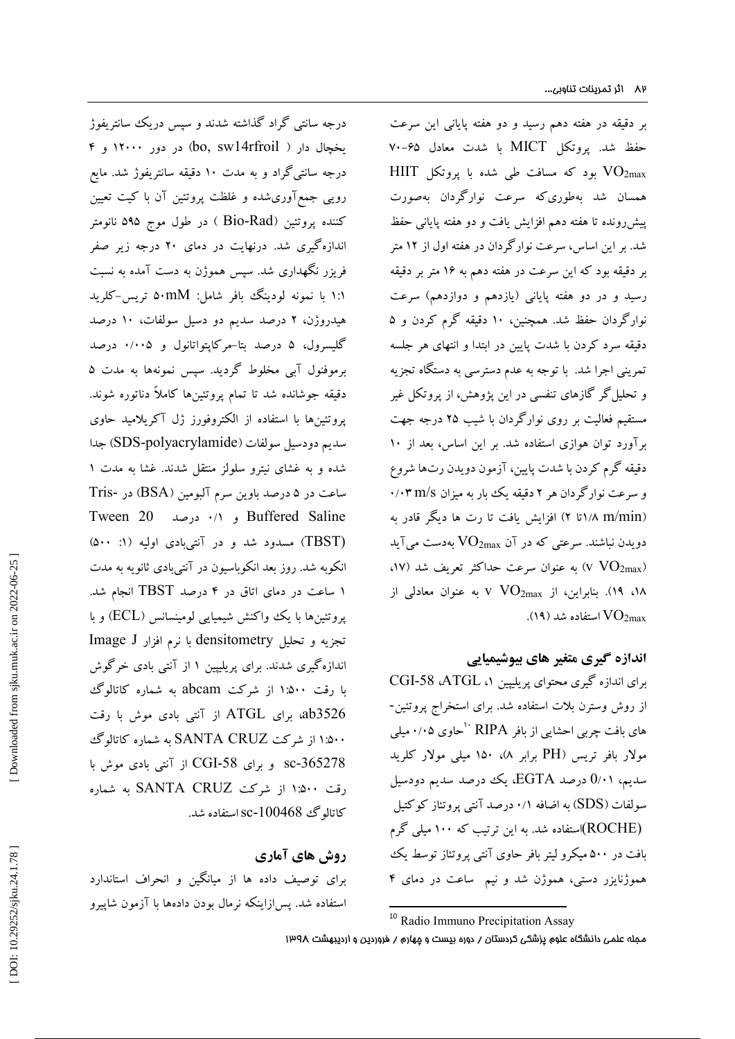بر دقیقه در هفته دهم رسید و دو هفته پایانی این سرعت حفظ شد. پروتکل MICT با شدت معادل ۶۵–۷۰ HIIT بود که مسافت طی شده با پروتکل HIIT همسان شد بهطوريکه سرعت نوارگردان بهصورت پیشرونده تا هفته دهم افزایش یافت و دو هفته پایانی حفظ بر این اساس، سرعت نوارگردان در هفته اول از 12 متر شد. بر دقیقه بود که این سرعت در هفته دهم به 16 متر بر دقیقه رسید و در دو هفته پایانی (یازدهم و دوازدهم) سرعت نوارگردان حفظ شد. همچنین، 10 دقیقه گرم کردن و 5 دقیقه سرد کردن با شدت پایین در ابتدا و انتهاي هر جلسه نمرینی اجرا شد. با توجه به عدم دسترسی به دستگاه تجزیه و تحلیلگر گازهاي تنفسی در این پژوهش، از پروتکل غیر مستقیم فعالیت بر روي نوارگردان با شیب 25 درجه جهت برآورد توان هوازي استفاده شد. بر این اساس، بعد از 10 دقیقه گرم کردن با شدت پایین، آزمون دویدن رتها شروع و سرعت نوارگردان هر ۲ دقیقه یک بار به میزان ۰/۰۳ m/s (۸ m/min/تا ۲) افزایش یافت تا رت ها دیگر قادر به دویدن نباشند. سرعتی که در آن  $\rm{VO_{2max}}$  بهدست میآید ،۱۷) به عنوان سرعت حداکثر تعریف شد (۱۷،  $\rm VO_{2max}$ ۱۸، ۱۹). بنابراین، از  $\rm V\ O_{2max}$  به عنوان معادلی از . . استفاده شد (۱۹). $\rm VO_{2max}$ 

#### **اندازه گیري متغیر هاي بیوشیمیایی**

CGI -58 ،ATGL ، براي اندازه گیري محتواي پریلیپین 1 از روش وسترن بلات استفاده شد. براي استخراج پروتئین- حاوي 0/05 میلی <sup>10</sup> هاي بافت چربی احشایی از بافر RIPA مولار بافر تریس (PH برابر ۸)، ۱۵۰ میلی مولار کلرید سدیم، 0/۰۱ درصد EGTA، یک درصد سدیم دودسیل سولفات (SDS) به اضافه ۰/۱ درصد آنتی پروتئاز کوکتیل (ROCHE(استفاده شد. به این ترتیب که 100 میلی گرم بافت در ۵۰۰ میکرو لیتر بافر حاوی آنتی پروتئاز توسط یک هموژنایزر دستی، هموژن شد و نیم ً ساعت در دمای ۴

درجه سانتی گراد گذاشته شدند و سپس دریک سانتریفوژ<br>یخچال دار ( bo, sw14rfroil) در دور ۱۲۰۰۰ و ۴ درجه سانتیگراد و به مدت 10 دقیقه سانتریفوژ شد. مایع رویی جمع[وریشده و غلظت پروتئین آن با کیت تعیین کننده پروتئین (Bio-Rad ) در طول موج ۵۹۵ نانومتر اندازهگیری شد. درنهایت در دمای ۲۰ درجه زیر صفر فریزر نگهداري شد. سپس هموژن به دست آمده به نسبت 1:1 با نمونه لودینگ بافر شامل: mM50 تریس-کلرید درصد سدیم دو دسیل سولفات، 10 درصد هیدروژن، 2 کلیسرول، ۵ درصد بتا–مرکاپتواتانول و ۰/۰۰۵ درصد برموفنول آبی مخلوط گردید. سپس نمونهها به مدت ۵<br>دقیقه جوشانده شد تا تمام پروتئینها کاملاً دناتوره شوند. پروتئینها با استفاده از الکتروفورز ژل آکریلامید حاوي جدا (SDS -polyacrylamide سدیم دودسیل سولفات ( شده و به غشای نیترو سلولز منتقل شدند. غشا به مدت ۱ ساعت در ۵ درصد باوین سرم آلبومین (BSA) در -Tris درصد 20 Tween 0 / 1 و Buffered Saline (500 : 1 (TBST (مسدود شد و در آنتیبادي اولیه ( نکوبه شد. روز بعد انکوباسیون در آنتیبادي ثانویه به مدت ا درصد TBST انجام شد. ساعت در دماي اتاق در 4 1 پروتئینها با یک واکنش شیمیایی لومینسانس (ECL) و با تجزیه و تحلیل densitometry با نرم افزار J Image اندازهگیری شدند. برای پریلیپین ۱ از آنتی بادی خرگوش با رقت 1:500 از شرکت abcam به شماره کاتالوگ براي ATGL از آنتی بادي موش با رقت ،ab3526 1:500 از شرکت CRUZ SANTA به شماره کاتالوگ CGI از آنتی بادي موش با sc و براي -58 -365278 رقت 1:500 از شرکت CRUZ SANTA به شماره کاتالوگٹ 100468-Sc استفادہ شد.

## **روش هاي آماري**

براي توصیف داده ها از میانگین و انحراف استاندارد استفاده شد. پسازاینکه نرمال بودن دادهها با آزمون شاپیرو

<sup>10</sup> Radio Immuno Precipitation Assay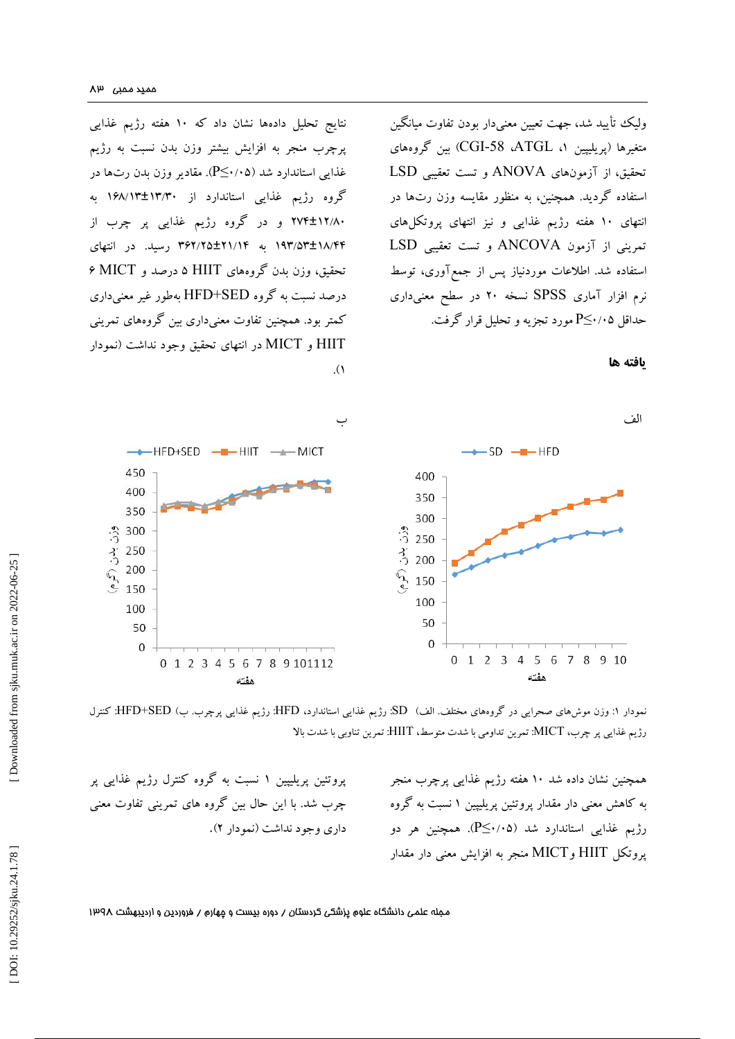نتایج تحلیل دادهها نشان داد که 10 هفته رژیم غذایی پرچرب منجر به افزایش بیشتر وزن بدن نسبت به رژیم غذایی استاندارد شد (P≤۰/۰۵). مقادیر وزن بدن رتها در گروه رژیم غذایی استاندارد از ۱۳/۳۰±۱۳/۳ به 274 و در گروه رژیم غذایی پر چرب از ±12 /80 ۱۹۳/۵۳±۱۸/۴۴ به ۲۶۲/۲۵±۲۱/۱۴ رسید. در انتهای درصد و MICT 6 تحقیق، وزن بدن گروههاي HIIT 5 درصد نسبت به گروه SED+HFD بهطور غیر معنیداري کمتر بود. همچنین تفاوت معنیداری بین گروههای تمرینی HIIT و MICT در انتهای تحقیق وجود نداشت (نمودار<br>۱).

ولیک تأیید شد، جهت تعیین معنیدار بودن تفاوت میانگین بین گروههاي (CGI -58 ،ATGL ، پریلیپین 1 متغیرها ( تحقیق، از آزمونهاي ANOVA و تست تعقیبی LSD ستفاده گردید. همچنین، به منظور مقایسه وزن رتها در انتهاي 10 هفته رژیم غذایی و نیز انتهاي پروتکلهاي تمرینی از آزمون ANCOVA و تست تعقیبی LSD استفاده شد. اطلاعات موردنیاز پس از جمع آوری، توسط نرم افزار آماري SPSS نسخه 20 در سطح معنیداري حداقل ۲٬۰۵≧P مورد تجزیه و تحلیل قرار گرفت.





 کنترل :HFD+SED ( وزن موشهاي صحرایی در گروههاي مختلف. الف) SD: رژیم غذایی استاندارد، HFD: رژیم غذایی پرچرب. ب نمودار 1 : رژیم غذایی پر چرب، MICT: تمرین تداومی با شدت متوسط، HIIT: تمرین تناوبی با شدت بالا

همچنین نشان داده شد 10 هفته رژیم غذایی پرچرب منجر به کاهش معنی دار مقدار پروتئین پریلیپین ۱ نسبت به گروه رژیم غذایی استاندارد شد (۰٫۵–P≦). همچنین هر دو MICT منجر به افزایش معنی دار مقدار پروتکل HIIT و

پروتئین پریلیپین ۱ نسبت به گروه کنترل رژیم غذایی پر چرب شد. با این حال بین گروه های تمرینی تفاوت معنی<br>داری وجود نداشت (نمودار ۲).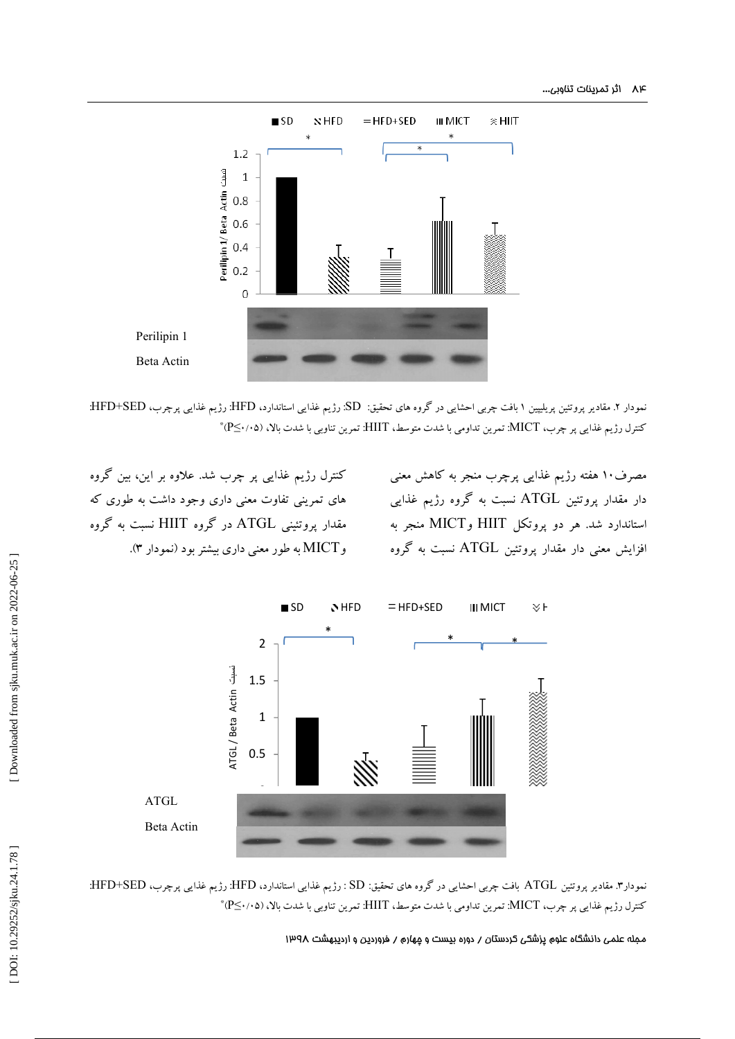

نمودار ۲. مقادیر پروتئین پریلیپین ۱ بافت چربی احشایی در گروه های تحقیق: SD: رژیم غذایی استاندارد، HFD : رژیم غذایی پرچرب، HFD+SED: کنترل رژیم غذایی پر چرب، MICT: تمرین تداومی با شدت متوسط، HIIT: تمرین تناوبی با شدت بالا، (۱۰۵⁄۰≥°\*

مصرف10 هفته رژیم غذایی پرچرب منجر به کاهش معنی دار مقدار پروتئین ATGL نسبت به گروه رژیم غذایی MICT منجر به استاندارد شد. هر دو پروتکل HIIT و افزایش معنی دار مقدار پروتئین ATGL نسبت به گروه

کنترل رژیم غذایی پر چرب شد. علاوه بر این، بین گروه هاي تمرینی تفاوت معنی داري وجود داشت به طوري که مقدار پروتئینی ATGL در گروه HIIT نسبت به گروه .( نمودار 3 MICT به طور معنی داري بیشتر بود ( و



نمودار۳. مقادیر پروتئین ATGL بافت چربی احشایی در گروه های تحقیق: SD : رژیم غذایی استاندارد، HFD : رژیم غذایی پرچرب، HFD+SED:  $^{\ast}$ (PS $\cdot$ /۰۵) کنترل رژیم غذایی پر چرب، MICT: تمرین تداومی با شدت متوسط،  ${\rm HIIT}$ : تمرین تناوبی با شدت بالا،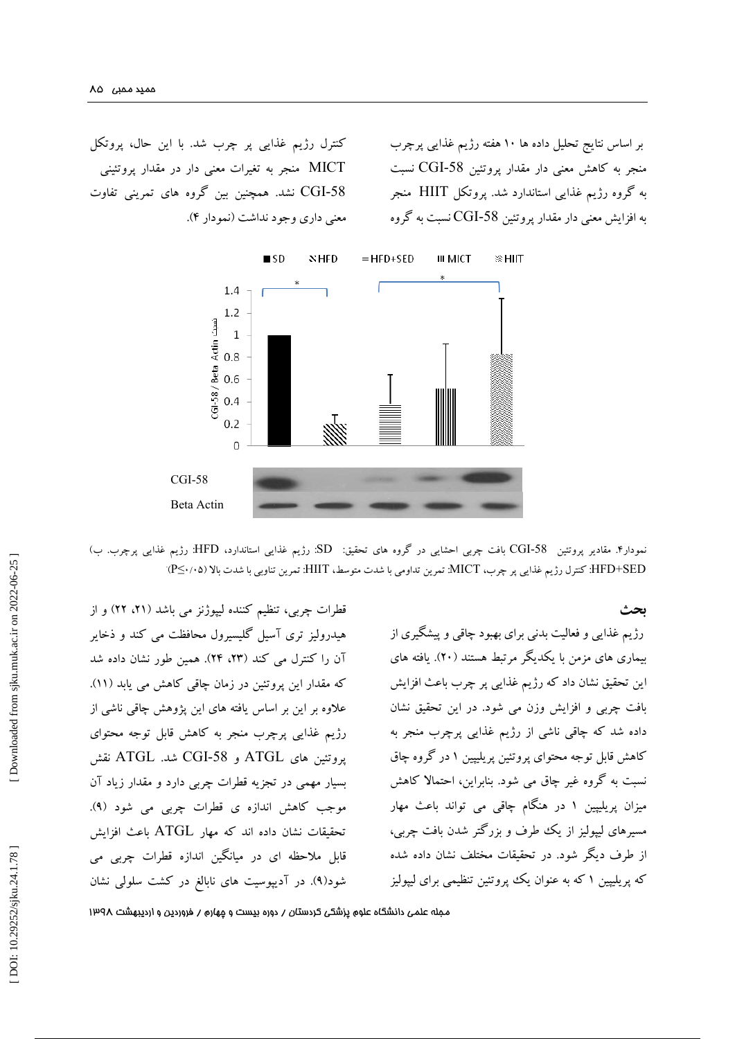کنترل رژیم غذایی پر چرب شد. با این حال، پروتکل MICT منجر به تغیرات معنی دار در مقدار پروتئینی CGI نشد. همچنین بین گروه هاي تمرینی تفاوت -58 معنی داری وجود نداشت (نمودار ۴).

بر اساس نتایج تحلیل داده ها 10 هفته رژیم غذایی پرچرب CGI نسبت منجر به کاهش معنی دار مقدار پروتئین -58 به گروه رژیم غذایی استاندارد شد. پروتکل HIIT منجر به افزایش معنی دار مقدار پروتئین CGI-58 نسبت به گروه



مودار۴. مقادیر پروتئین 58-CGI بافت چربی احشایی در گروه های تحقیق: SD: رژیم غذایی استاندارد، HFD: رژیم غذایی پرچرب. ب) HFD+SED: کنترل رژیم غذایی پر چرب، MICT: تمرین تداومی با شدت متوسط، HIIT: تمرین تناوبی با شدت بالا (۴۷۰/۰۵)

**بحث**

رژیم غذایی و فعالیت بدنی برای بهبود چاقی و پیشگیری از بیماری های مزمن با یکدیگر مرتبط هستند (۲۰). یافته های . این تحقیق نشان داد که رژیم غذایی پر چرب باعث افزایش بافت چربی و افزایش وزن می شود. در این تحقیق نشان داده شد که چاقی ناشی از رژیم غذایی پرچرب منجر به کاهش قابل توجه محتوای پروتئین پریلیپین ۱ در گروه چاق ا نسبت به گروه غیر چاق می شود. بنابراین، احتمالا کاهش میزان پریلیپین ۱ در هنگام چاقی می تواند باعث مهار مسیرهاي لیپولیز از یک طرف و بزرگتر شدن بافت چربی، از طرف دیگر شود. در تحقیقات مختلف نشان داده شده که پریلیپین ۱ که به عنوان یک پپروتئین تنظیمی برای لیپولیز

قطرات چربی، تنظیم کننده لیپوژنز می باشد (۲۱، ۲۲) و از هیدرولیز تري آسیل گلیسیرول محافظت می کند و ذخایر آن را کنترل می کند (۲۳، ۲۴). همین طور نشان داده شد .(11 که مقدار این پروتئین در زمان چاقی کاهش می یابد ( علاوه بر این بر اساس یافته هاي این پژوهش چاقی ناشی از ي رژیم غذایی پرچرب منجر به کاهش قابل توجه محتوا پروتئین های ATGL و CGI-58 شد. ATGL نقش بسیار مهمی در تجزیه قطرات چربی دارد و مقدار زیاد آن<br>موجب کاهش اندازه ی قطرات چربی می شود (۹). تحقیقات نشان داده اند که مهار ATGL باعث افزایش قابل ملاحظه اي در میانگین اندازه قطرات چربی می . در آدیپوسیت هاي نابالغ در کشت سلولی نشان ( 9 شود(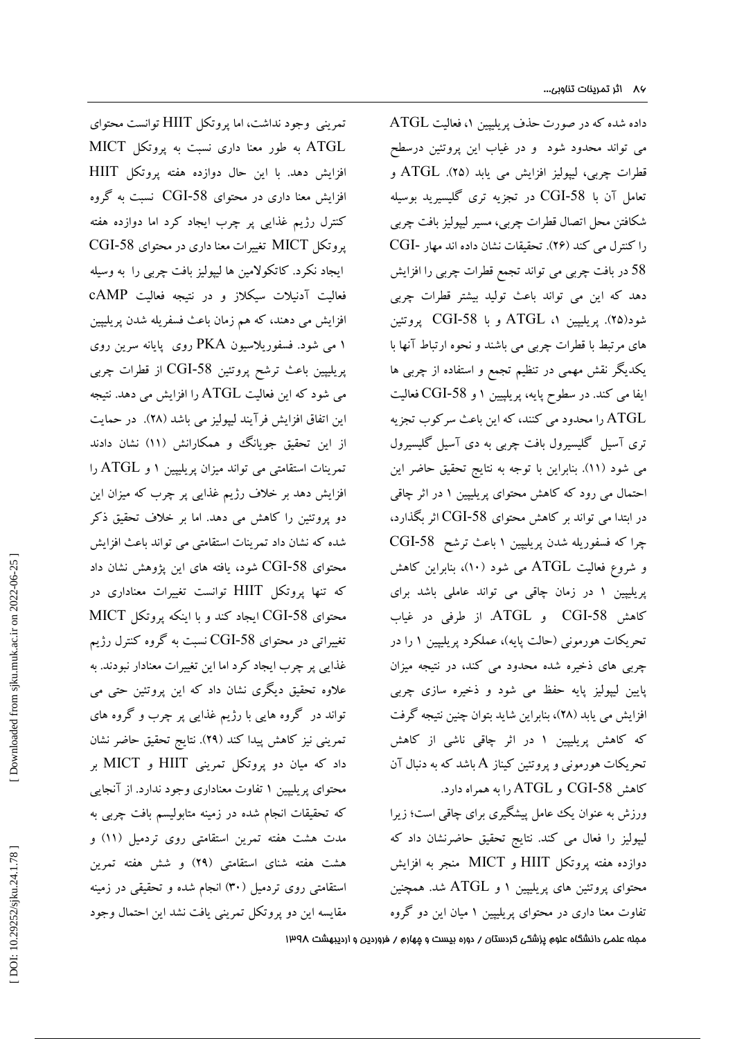تمرینی وجود نداشت، اما پروتکل HIIT توانست محتواي ATGL به طور معنا داري نسبت به پروتکل MICT افزایش دهد. با این حال دوازده هفته پروتکل HIIT افزایش معنا داری در محتوای CGI-58 نسبت به گروه کنترل رژیم غذایی پر چرب ایجاد کرد اما دوازده هفته CGI پروتکل MICT تغییرات معنا داري در محتواي -58 ایجاد نکرد. کاتکولامین ها لیپولیز بافت چربی را به وسیله فعالیت آدنیلات سیکلاز و در نتیجه فعالیت cAMP افزایش می دهند، که هم زمان باعث فسفریله شدن پریلیپین می شود. فسفوریلاسیون PKA روي پایانه سرین روي 1 پریلیپین باعث ترشح پروتئین CGI-58 از قطرات چربی می شود که این فعالیت  $\rm ATGL$  را افزایش می دهد. نتیجه این اتفاق افزایش فرآیند لیپولیز می باشد (۲۸). در حمایت . از این تحقیق جویانگ و همکارانش (۱۱) نشان دادند و ATGL را تمرینات استقامتی می تواند میزان پریلیپین 1 افزایش دهد بر خلاف رژیم غذایی پر چرب که میزان این دو پروتئین را کاهش می دهد. اما بر خلاف تحقیق ذکر شده که نشان داد تمرینات استقامتی می تواند باعث افزایش محتوای CGI-58 شود، یافته های این پژوهش نشان داد که تنها پروتکل HIIT توانست تغییرات معناداري در محتوای CGI-58 ایجاد کند و با اینکه پروتکل MICT تغییراتی در محتوای CGI-58 نسبت به گروه کنترل رژیم غذایی پر چرب ایجاد کرد اما این تغییرات معنادار نبودند. به علاوه تحقیق دیگري نشان داد که این پروتئین حتی می تواند در گروه هایی با رژیم غذایی پر چرب و گروه هاي تمرینی نیز کاهش پیدا کند (۲۹). نتایج تحقیق حاضر نشان داد که میان دو پروتکل تمرینی HIIT و MICT بر محتوای پریلیپین ۱ تفاوت معناداری وجود ندارد. از آنجایی که تحقیقات انجام شده در زمینه متابولیسم بافت چربی به مدت هشت هفته تمرین استقامتی روی تردمیل (۱۱) و هشت هفته شنای استقامتی (۲۹) و شش هفته تمرین استقامتی روی تردمیل (۳۰) انجام شده و تحقیقی در زمینه مقایسه این دو پروتکل تمرینی یافت نشد این احتمال وجود

، فعالیت ATGL داده شده که در صورت حذف پریلیپین 1 می تواند محدود شود و در غیاب این پروتئین درسطح 25). ATGL و قطرات چربی، لیپولیز افزایش می یابد ( نعامل آن با CGI-58 در تجزیه تری گلیسیرید بوسیله شکافتن محل اتصال قطرات چربی، مسیر لیپولیز بافت چربی CGI تحقیقات نشان داده اند مهار - (26 را کنترل می کند ( . 58 در بافت چربی می تواند تجمع قطرات چربی را افزایش دهد که این می تواند باعث تولید بیشتر قطرات چربی شود(۲۵). پریلیپین ۱، ATGL و با CGI-58 پروتئین . هاي مرتبط با قطرات چربی می باشند و نحوه ارتباط آنها با بکدیگر نقش مهمی در تنظیم تجمع و استفاده از چربی ها CGI فعالیت -58 و ایفا می کند. در سطوح پایه، پریلپیین 1 ATGL را محدود می کنند، که این باعث سرکوب تجزیه تري آسیل گلیسیرول بافت چربی به دي آسیل گلیسیرول می شود (۱۱). بنابراین با توجه به نتایج تحقیق حاضر این . در اثر چاقی احتمال می رود که کاهش محتواي پریلیپین 1 در ابتدا می تواند بر کاهش محتوای CGI-58 اثر بگذارد، CGI باعث ترشح -58 چرا که فسفوریله شدن پریلیپین 1 ، بنابراین کاهش (10 و شروع فعالیت ATGL می شود ( در زمان چاقی می تواند عاملی باشد براي پریلیپین 1 CGI و ATGL. از طرفی در غیاب کاهش -58 نحریکات هورمونی (حالت پایه)، عملکرد پریلیپین ۱ را در چربی هاي ذخیره شده محدود می کند، در نتیجه میزان ذخیره سازي چربی پایین لیپولیز پایه حفظ می شود و فزایش می یابد (۲۸)، بنابراین شاید بتوان چنین نتیجه گرفت که کاهش پریلیپین ۱ در اثر چاقی ناشی از کاهش نحریکات هورمونی و پروتئین کیناز  $\rm A$  باشد که به دنبال آن کاهش CGI-58 و ATGL را به همراه دارد.

ورزش به عنوان یک عامل پیشگیري براي چاقی است؛ زیرا لیپولیز را فعال می کند. نتایج تحقیق حاضرنشان داد که دوازده هفته پروتکل HIIT و MICT منجر به افزایش محتوای پروتئین های پریلیپین ۱ و  ${\rm ATGL}$  شد. همچنین نفاوت معنا داری در محتوای پریلیپین ۱ میان این دو گروه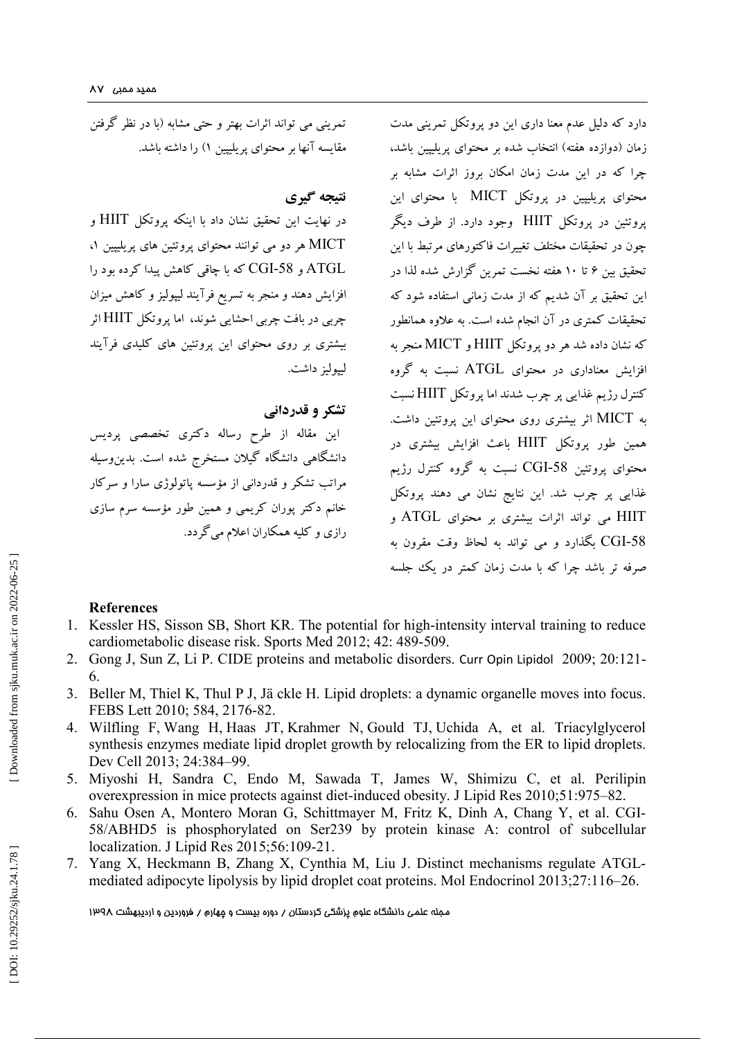دارد که دلیل عدم معنا داري این دو پروتکل تمرینی مدت زمان (دوازده هفته) انتخاب شده بر محتوای پریلیپین باشد، چرا که در این مدت زمان امکان بروز اثرات مشابه بر محتواي پریلیپین در پروتکل MICT با محتواي این پروتئین در پروتکل HIIT وجود دارد. از طرف دیگر چون در تحقیقات مختلف تغییرات فاکتورهاي مرتبط با این تحقیق بین ۶ تا ۱۰ هفته نخست تمرین گزارش شده لذا در این تحقیق بر آن شدیم که از مدت زمانی استفاده شود که تحقیقات کمتري در آن انجام شده است. به علاوه همانطور که نشان داده شد هر دو پروتکل HIIT و MICT منجر به افزایش معناداري در محتواي ATGL نسبت به گروه کنترل رژیم غذایی پر چرب شدند اما پروتکل HIIT نسبت به MICT اثر بیشتري روي محتواي این پروتئین داشت. همین طور پروتکل HIIT باعث افزایش بیشتري در محتوای پروتئین CGI-58 نسبت به گروه کنترل رژیم غذایی پر چرب شد. این نتایج نشان می دهند پروتکل HIIT می تواند اثرات بیشتري بر محتواي ATGL و CGI بگذارد و می تواند به لحاظ وقت مقرون به -58 صرفه تر باشد چرا که با مدت زمان کمتر در یک جلسه

تمرینی می تواند اثرات بهتر و حتی مشابه (با در نظر گرفتن مقایسه آنها بر محتوای پریلیپین ۱) را داشته باشد.

## **نتیجه گیري**

در نهایت این تحقیق نشان داد با اینکه پروتکل HIIT و ، MICT هر دو می توانند محتواي پروتئین هاي پریلیپین 1 ATGL و CGI-58 که با چاقی کاهش پیدا کرده بود را افزایش دهند و منجر به تسریع فرآیند لیپولیز و کاهش میزان چربی در بافت چربی احشایی شوند، اما پروتکل HIIT اثر بیشتري بر روي محتواي این پروتئین هاي کلیدي فرآیند لیپولیز داشت.

## **تشکر و قدردانی**

این مقاله از طرح رساله دکتري تخصصی پردیس دانشگاهی دانشگاه گیلان مستخرج شده است. بدینوسیله مراتب تشکر و قدردانی از مؤسسه پاتولوژي سارا و سرکار خانم دکتر پوران کریمی و همین طور مؤسسه سرم سازی<br>رازی و کلیه همکاران اعلام میگردد.

#### **References**

- 1 . Kessler HS, Sisson SB, Short KR. The potential for high -intensity interval training to reduce cardiometabolic disease risk. Sports Med 2012; 42: 489 -509.
- 2 . Gong J, Sun Z, Li P. CIDE proteins and metabolic disorders. Curr Opin Lipidol 2009; 20:121 6.
- 3 . Beller M, Thiel K, Thul P J, Jä ckle H. Lipid droplets: a dynamic organelle moves into focus. FEBS Lett 2010; 584, 2176 -82 .
- 4 . Wilfling F , Wang H , Haas JT , Krahmer N , Gould TJ , Uchida A, et al. Triacylglycerol synthesis enzymes mediate lipid droplet growth by relocalizing from the ER to lipid droplets. Dev Cell 2013; 24:384 –99.
- 5 . Miyoshi H, Sandra C, Endo M, Sawada T, James W, Shimizu C, et al. Perilipin overexpression in mice protects against diet -induced obesity. J Lipid Res 2010;51:975 –82.
- 6 . Sahu Osen A, Montero Moran G, Schittmayer M, Fritz K, Dinh A, Chang Y, et al. CGI 58/ABHD5 is phosphorylated on Ser239 by protein kinase A: control of subcellular localization. J Lipid Res 2015;56:109 -21.
- 7 . Yang X, Heckmann B, Zhang X, Cynthia M, Liu J. Distinct mechanisms regulate ATGL mediated adipocyte lipolysis by lipid droplet coat proteins. Mol Endocrinol 2013;27:116 –26.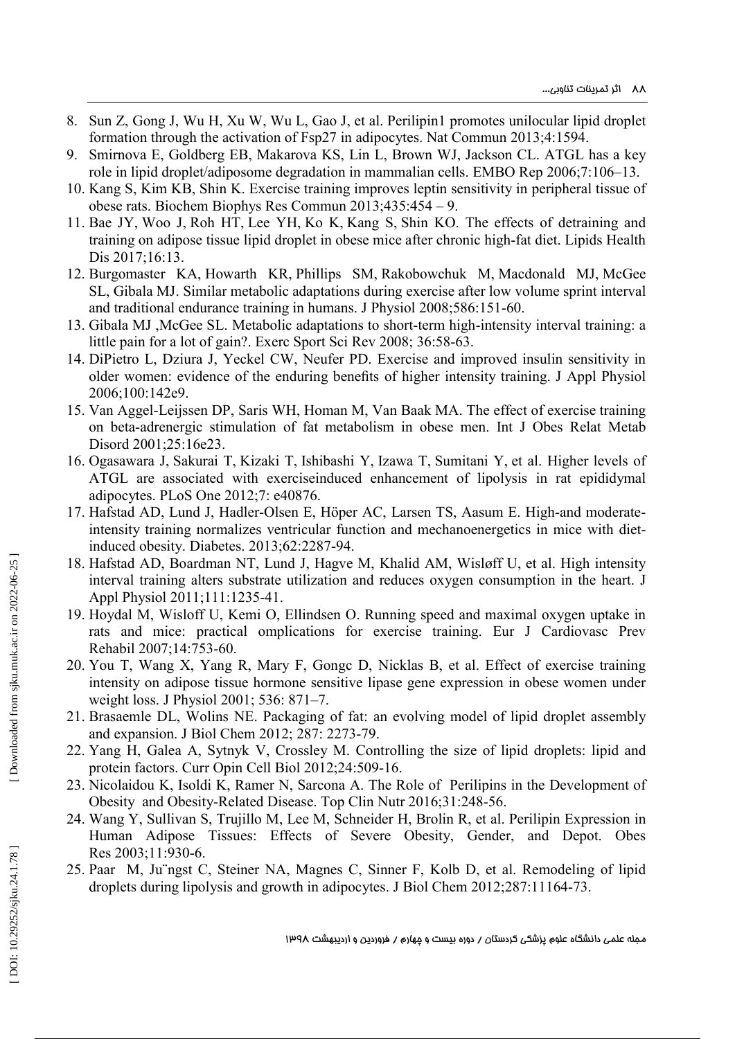- 8 . Sun Z, Gong J, Wu H, Xu W, Wu L, Gao J, et al . Perilipin1 promotes unilocular lipid droplet formation through the activation of Fsp27 in adipocytes. Nat Commun 2013;4:1594 .
- 9 . Smirnova E, Goldberg EB, Makarova KS, Lin L, Brown WJ, Jackson CL. ATGL has a key role in lipid droplet/adiposome degradation in mammalian cells. EMBO Rep 2006;7:106 –13.
- 10 . Kang S, Kim KB, Shin K. Exercise training improves leptin sensitivity in peripheral tissue of obese rats. Biochem Biophys Res Commun 2013;435:454 – 9.
- 11 . Bae JY , Woo J , Roh HT , Lee YH , Ko K , Kang S , Shin KO . The effects of detraining and training on adipose tissue lipid droplet in obese mice after chronic high -fat diet. Lipids Health Dis 2017;16:13.
- 12 . Burgomaster KA , Howarth KR , Phillips SM , Rakobowchuk M , Macdonald M J , McGee SL , Gibala MJ . Similar metabolic adaptations during exercise after low volume sprint interval and traditional endurance training in humans. J Physiol 2008;586:151 -60.
- 13 . Gibala MJ ,McGee SL. Metabolic adaptations to short -term high -intensity interval training: a little pain for a lot of gain?. Exerc Sport Sci Rev 2008; 36:58-63.
- 14 . DiPietro L, Dziura J, Yeckel CW, Neufer PD. Exercise and improved insulin sensitivity in older women: evidence of the enduring benefits of higher intensity training. J Appl Physiol 2006;100:142e9.
- 15 . Van Aggel -Leijssen DP, Saris WH, Homan M, Van Baak MA. The effect of exercise training on beta -adrenergic stimulation of fat metabolism in obese men. Int J Obes Relat Metab Disord 2001;25:16e23.
- 16 . Ogasawara J , Sakurai T , Kizaki T , Ishibashi Y , Izawa T , Sumitani Y , et al. Higher levels of ATGL are associated with exerciseinduced enhancement of lipolysis in rat epididymal adipocytes. PLoS One 2012;7 : e40876 .
- 17. Hafstad AD, Lund J, Hadler-Olsen E, Höper AC, Larsen TS, Aasum E. High-and moderateintensity training normalizes ventricular function and mechanoenergetics in mice with diet induced obesity. Diabetes. 2013;62:2287 -94.
- 18 . Hafstad AD, Boardman NT, Lund J, Hagve M, Khalid AM, Wisløff U, et al. High intensity interval training alters substrate utilization and reduces oxygen consumption in the heart. J Appl Physiol 2011;111:1235 -41 .
- 19 . Hoydal M, Wisloff U, Kemi O, Ellindsen O. Running speed and maximal oxygen uptake in rats and mice: practical omplications for exercise training. Eur J Cardiovasc Prev Rehabil 2007;14:753 -60.
- 20 . You T, Wang X, Yang R, Mary F, Gongc D, Nicklas B, et al. Effect of exercise training intensity on adipose tissue hormone sensitive lipase gene expression in obese women under weight loss . J Physiol 2001; 536: 871 –7.
- 21 . Brasaemle DL , Wolins NE. Packaging of fat: an evolving model of lipid droplet assembly and expansion. J Biol Chem 2012; 287 : 2273 -79.
- 22 . Yang H, Galea A, Sytnyk V, Crossley M. Controlling the size of lipid droplets: lipid and protein factors. Curr Opin Cell Biol 2012;24:509 -16.
- 23 . Nicolaidou K, Isoldi K, Ramer N, Sarcona A. The Role of Perilipins in the Development of Obesity and Obesity-Related Disease. Top Clin Nutr 2016;31:248-56.
- 24 . Wang Y, Sullivan S, Trujillo M, Lee M, Schneider H, Brolin R, et al. Perilipin Expression in Human Adipose Tissues: Effects of Severe Obesity, Gender, and Depot. Obes Res 2003;11:930 -6.
- 25 . Paar M, Ju¨ngst C, Steiner NA, Magnes C, Sinner F, Kolb D, et al. Remodeling of lipid droplets during lipolysis and growth in adipocytes. J Biol Chem 2012;287:11164 -73.